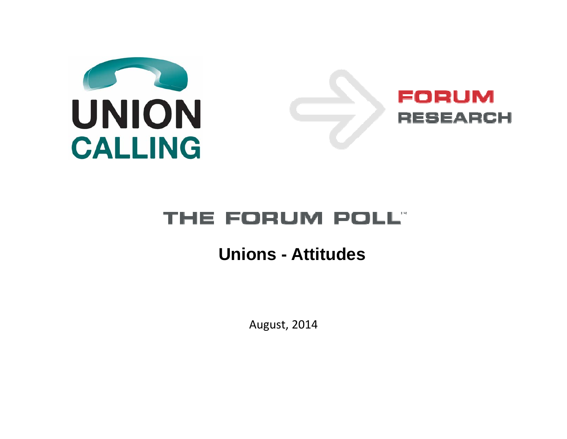

#### THE FORUM POLL"

#### **Unions - Attitudes**

August, 2014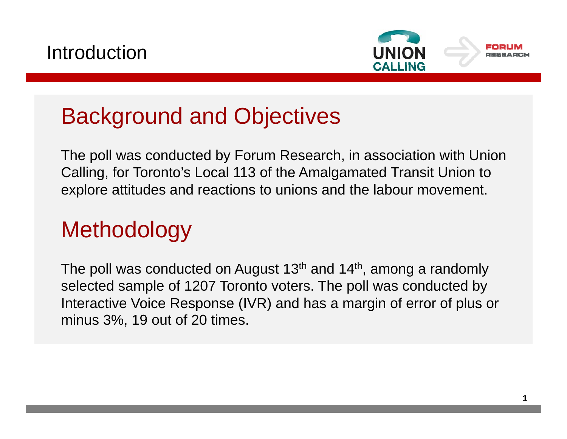



#### Background and Objectives

The poll was conducted by Forum Research, in association with Union Calling, for Toronto's Local 113 of the Amalgamated Transit Union to explore attitudes and reactions to unions and the labour movement.

#### **Methodology**

The poll was conducted on August 13<sup>th</sup> and 14<sup>th</sup>, among a randomly selected sample of 1207 Toronto voters. The poll was conducted by Interactive Voice Response (IVR) and has a margin of error of plus or minus 3%, 19 out of 20 times.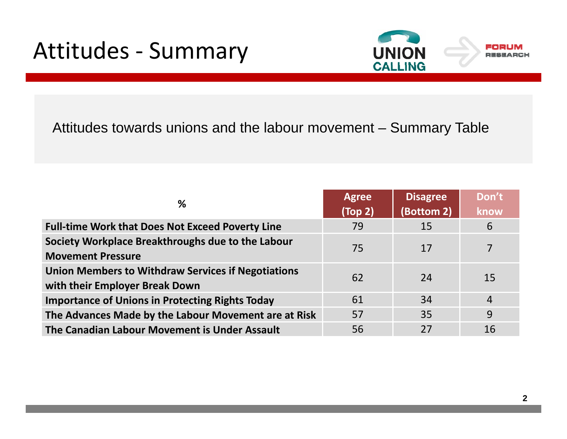#### Attitudes ‐ Summary



Attitudes towards unions and the labour movement – Summary Table

| %                                                                                           | <b>Agree</b><br>(Top 2) | Disagree<br>(Bottom 2) | Don't<br>know  |
|---------------------------------------------------------------------------------------------|-------------------------|------------------------|----------------|
| <b>Full-time Work that Does Not Exceed Poverty Line</b>                                     | 79                      | 15                     | 6              |
| Society Workplace Breakthroughs due to the Labour<br><b>Movement Pressure</b>               | 75                      | 17                     | $\overline{7}$ |
| <b>Union Members to Withdraw Services if Negotiations</b><br>with their Employer Break Down | 62                      | 24                     | 15             |
| <b>Importance of Unions in Protecting Rights Today</b>                                      | 61                      | 34                     | $\overline{4}$ |
| The Advances Made by the Labour Movement are at Risk                                        | 57                      | 35                     | 9              |
| The Canadian Labour Movement is Under Assault                                               | 56                      | 27                     | 16             |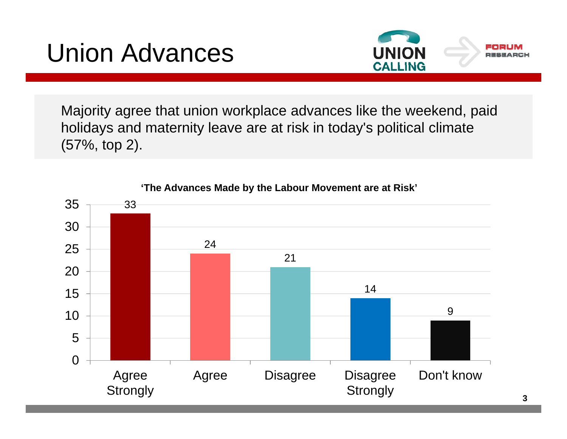### Union Advances



Majority agree that union workplace advances like the weekend, paid holidays and maternity leave are at risk in today's political climate (57%, top 2).



**'The Advances Made by the Labour Movement are at Risk'**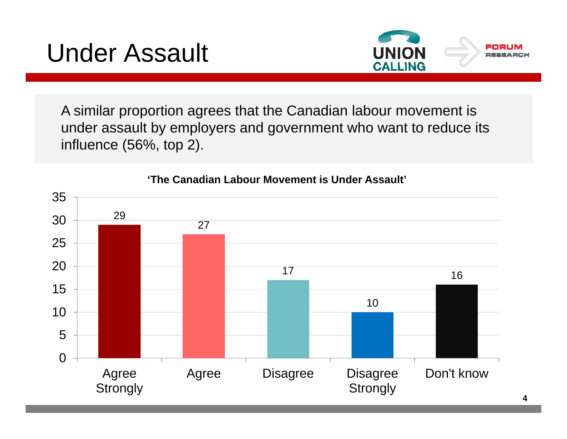### Under Assault



**4**

A similar proportion agrees that the Canadian labour movement is under assault by employers and government who want to reduce its influence (56%, top 2).



**'The Canadian Labour Movement is Under Assault'**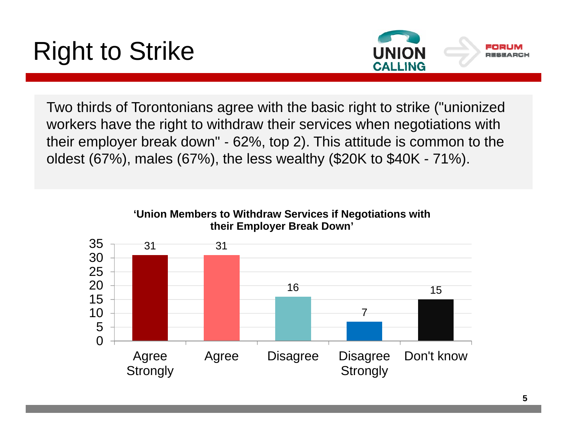# Right to Strike



Two thirds of Torontonians agree with the basic right to strike ("unionized workers have the right to withdraw their services when negotiations with their employer break down" ‐ 62%, top 2). This attitude is common to the oldest (67%), males (67%), the less wealthy (\$20K to \$40K - 71%).

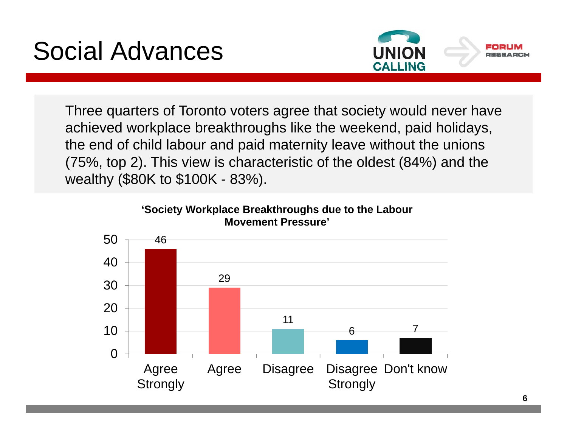## Social Advances



Three quarters of Toronto voters agree that society would never have achieved workplace breakthroughs like the weekend, paid holidays, the end of child labour and paid maternity leave without the unions (75%, top 2). This view is characteristic of the oldest (84%) and the wealthy (\$80K to \$100K - 83%).



**'Society Workplace Breakthroughs due to the Labour Movement Pressure'**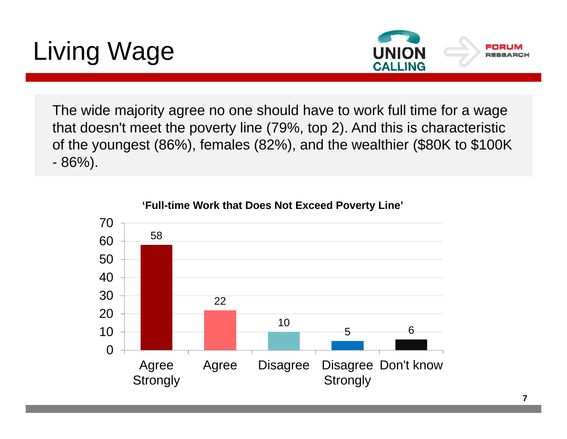# Living Wage



The wide majority agree no one should have to work full time for a wage that doesn't meet the poverty line (79%, top 2). And this is characteristic of the youngest (86%), females (82%), and the wealthier (\$80K to \$100K 86%).



**'Full-time Work that Does Not Exceed Poverty Line'**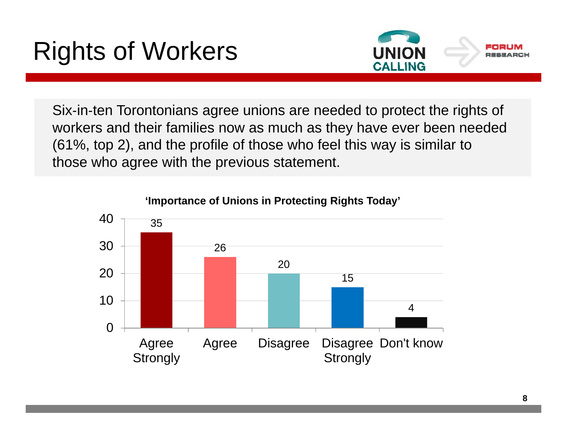## Rights of Workers



Six‐in‐ten Torontonians agree unions are needed to protect the rights of workers and their families now as much as they have ever been needed (61%, top 2), and the profile of those who feel this way is similar to those who agree with the previous statement.



#### **'Importance of Unions in Protecting Rights Today'**